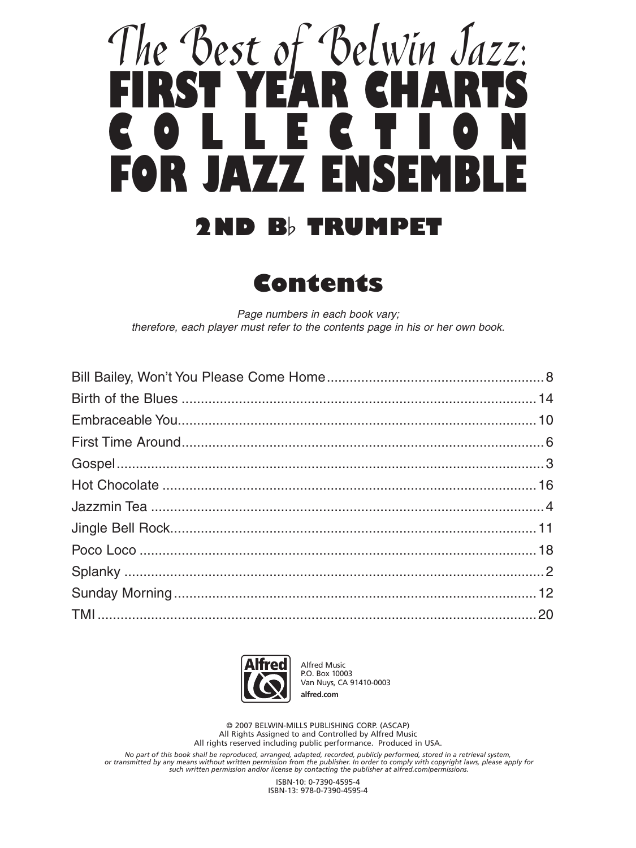## <u>The 'Best of 'Belwin Jazz:</u> **FIRST YEAR CHARTS COLLECTION FOR JAZZ ENSEMBLE 2ND B**≤ **TRUMPET**

**Contents**

*Page numbers in each book vary; therefore, each player must refer to the contents page in his or her own book.*



Alfred Music P.O. Box 10003 Van Nuys, CA 91410-0003 **alfred.com**

© 2007 BELWIN-MILLS PUBLISHING CORP. (ASCAP) All Rights Assigned to and Controlled by Alfred Music All rights reserved including public performance. Produced in USA.

No part of this book shall be reproduced, arranged, adapted, recorded, publicly performed, stored in a retrieval system,<br>or transmitted by any means without written permission from the publisher. In order to comply with co

ISBN-10: 0-7390-4595-4 ISBN-13: 978-0-7390-4595-4